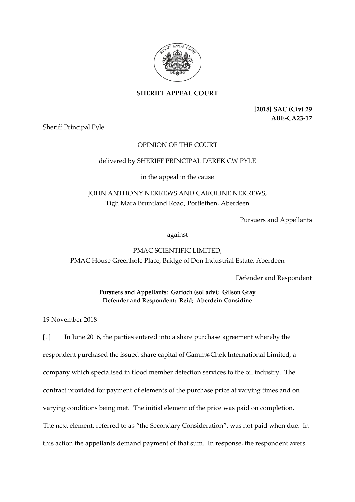

## **SHERIFF APPEAL COURT**

**[2018] SAC (Civ) 29 ABE-CA23-17**

Sheriff Principal Pyle

### OPINION OF THE COURT

#### delivered by SHERIFF PRINCIPAL DEREK CW PYLE

#### in the appeal in the cause

# JOHN ANTHONY NEKREWS AND CAROLINE NEKREWS, Tigh Mara Bruntland Road, Portlethen, Aberdeen

Pursuers and Appellants

against

PMAC SCIENTIFIC LIMITED, PMAC House Greenhole Place, Bridge of Don Industrial Estate, Aberdeen

Defender and Respondent

**Pursuers and Appellants: Garioch (sol adv); Gilson Gray Defender and Respondent: Reid; Aberdein Considine**

19 November 2018

[1] In June 2016, the parties entered into a share purchase agreement whereby the respondent purchased the issued share capital of Gamm@Chek International Limited, a company which specialised in flood member detection services to the oil industry. The contract provided for payment of elements of the purchase price at varying times and on varying conditions being met. The initial element of the price was paid on completion. The next element, referred to as "the Secondary Consideration", was not paid when due. In this action the appellants demand payment of that sum. In response, the respondent avers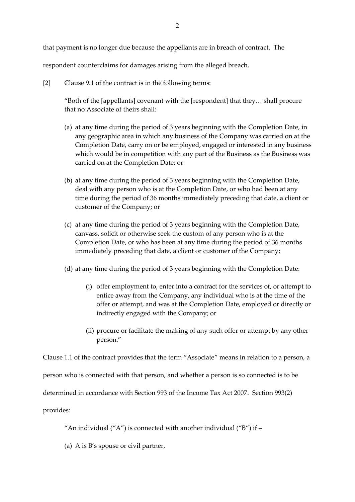respondent counterclaims for damages arising from the alleged breach.

[2] Clause 9.1 of the contract is in the following terms:

"Both of the [appellants] covenant with the [respondent] that they… shall procure that no Associate of theirs shall:

- (a) at any time during the period of 3 years beginning with the Completion Date, in any geographic area in which any business of the Company was carried on at the Completion Date, carry on or be employed, engaged or interested in any business which would be in competition with any part of the Business as the Business was carried on at the Completion Date; or
- (b) at any time during the period of 3 years beginning with the Completion Date, deal with any person who is at the Completion Date, or who had been at any time during the period of 36 months immediately preceding that date, a client or customer of the Company; or
- (c) at any time during the period of 3 years beginning with the Completion Date, canvass, solicit or otherwise seek the custom of any person who is at the Completion Date, or who has been at any time during the period of 36 months immediately preceding that date, a client or customer of the Company;
- (d) at any time during the period of 3 years beginning with the Completion Date:
	- (i) offer employment to, enter into a contract for the services of, or attempt to entice away from the Company, any individual who is at the time of the offer or attempt, and was at the Completion Date, employed or directly or indirectly engaged with the Company; or
	- (ii) procure or facilitate the making of any such offer or attempt by any other person."

Clause 1.1 of the contract provides that the term "Associate" means in relation to a person, a

person who is connected with that person, and whether a person is so connected is to be

determined in accordance with Section 993 of the Income Tax Act 2007. Section 993(2)

provides:

"An individual ("A") is connected with another individual ("B") if  $-$ 

(a) A is B's spouse or civil partner,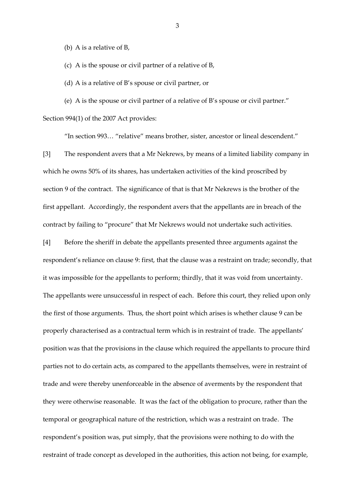(b) A is a relative of B,

(c) A is the spouse or civil partner of a relative of B,

(d) A is a relative of B's spouse or civil partner, or

(e) A is the spouse or civil partner of a relative of B's spouse or civil partner."

Section 994(1) of the 2007 Act provides:

"In section 993… "relative" means brother, sister, ancestor or lineal descendent."

[3] The respondent avers that a Mr Nekrews, by means of a limited liability company in which he owns 50% of its shares, has undertaken activities of the kind proscribed by section 9 of the contract. The significance of that is that Mr Nekrews is the brother of the first appellant. Accordingly, the respondent avers that the appellants are in breach of the contract by failing to "procure" that Mr Nekrews would not undertake such activities.

[4] Before the sheriff in debate the appellants presented three arguments against the respondent's reliance on clause 9: first, that the clause was a restraint on trade; secondly, that it was impossible for the appellants to perform; thirdly, that it was void from uncertainty. The appellants were unsuccessful in respect of each. Before this court, they relied upon only the first of those arguments. Thus, the short point which arises is whether clause 9 can be properly characterised as a contractual term which is in restraint of trade. The appellants' position was that the provisions in the clause which required the appellants to procure third parties not to do certain acts, as compared to the appellants themselves, were in restraint of trade and were thereby unenforceable in the absence of averments by the respondent that they were otherwise reasonable. It was the fact of the obligation to procure, rather than the temporal or geographical nature of the restriction, which was a restraint on trade. The respondent's position was, put simply, that the provisions were nothing to do with the restraint of trade concept as developed in the authorities, this action not being, for example,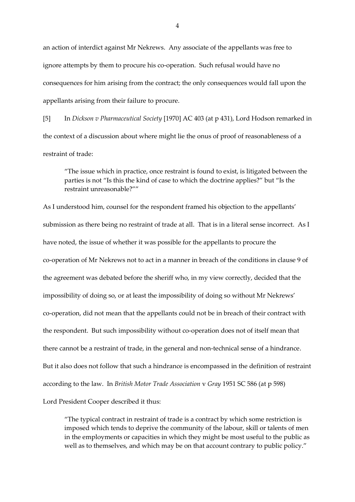an action of interdict against Mr Nekrews. Any associate of the appellants was free to ignore attempts by them to procure his co-operation. Such refusal would have no consequences for him arising from the contract; the only consequences would fall upon the appellants arising from their failure to procure.

[5] In *Dickson v Pharmaceutical Society* [1970] AC 403 (at p 431), Lord Hodson remarked in the context of a discussion about where might lie the onus of proof of reasonableness of a restraint of trade:

"The issue which in practice, once restraint is found to exist, is litigated between the parties is not "Is this the kind of case to which the doctrine applies?" but "Is the restraint unreasonable?""

As I understood him, counsel for the respondent framed his objection to the appellants' submission as there being no restraint of trade at all. That is in a literal sense incorrect. As I have noted, the issue of whether it was possible for the appellants to procure the co-operation of Mr Nekrews not to act in a manner in breach of the conditions in clause 9 of the agreement was debated before the sheriff who, in my view correctly, decided that the impossibility of doing so, or at least the impossibility of doing so without Mr Nekrews' co-operation, did not mean that the appellants could not be in breach of their contract with the respondent. But such impossibility without co-operation does not of itself mean that there cannot be a restraint of trade, in the general and non-technical sense of a hindrance. But it also does not follow that such a hindrance is encompassed in the definition of restraint according to the law. In *British Motor Trade Association* v *Gray* 1951 SC 586 (at p 598) Lord President Cooper described it thus:

"The typical contract in restraint of trade is a contract by which some restriction is imposed which tends to deprive the community of the labour, skill or talents of men in the employments or capacities in which they might be most useful to the public as well as to themselves, and which may be on that account contrary to public policy."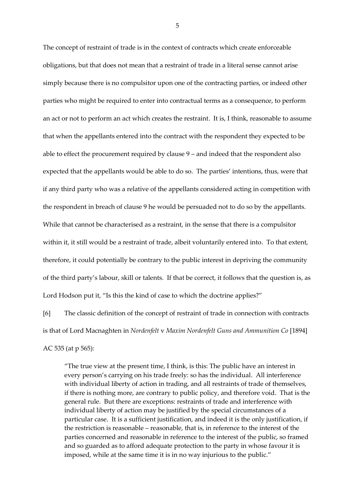The concept of restraint of trade is in the context of contracts which create enforceable obligations, but that does not mean that a restraint of trade in a literal sense cannot arise simply because there is no compulsitor upon one of the contracting parties, or indeed other parties who might be required to enter into contractual terms as a consequence, to perform an act or not to perform an act which creates the restraint. It is, I think, reasonable to assume that when the appellants entered into the contract with the respondent they expected to be able to effect the procurement required by clause 9 – and indeed that the respondent also expected that the appellants would be able to do so. The parties' intentions, thus, were that if any third party who was a relative of the appellants considered acting in competition with the respondent in breach of clause 9 he would be persuaded not to do so by the appellants. While that cannot be characterised as a restraint, in the sense that there is a compulsitor within it, it still would be a restraint of trade, albeit voluntarily entered into. To that extent, therefore, it could potentially be contrary to the public interest in depriving the community of the third party's labour, skill or talents. If that be correct, it follows that the question is, as Lord Hodson put it, "Is this the kind of case to which the doctrine applies?"

[6] The classic definition of the concept of restraint of trade in connection with contracts is that of Lord Macnaghten in *Nordenfelt* v *Maxim Nordenfelt Guns and Ammunition Co* [1894] AC 535 (at p 565):

"The true view at the present time, I think, is this: The public have an interest in every person's carrying on his trade freely: so has the individual. All interference with individual liberty of action in trading, and all restraints of trade of themselves, if there is nothing more, are contrary to public policy, and therefore void. That is the general rule. But there are exceptions: restraints of trade and interference with individual liberty of action may be justified by the special circumstances of a particular case. It is a sufficient justification, and indeed it is the only justification, if the restriction is reasonable – reasonable, that is, in reference to the interest of the parties concerned and reasonable in reference to the interest of the public, so framed and so guarded as to afford adequate protection to the party in whose favour it is imposed, while at the same time it is in no way injurious to the public."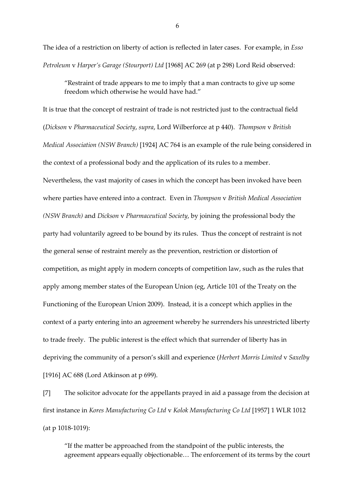The idea of a restriction on liberty of action is reflected in later cases. For example, in *Esso Petroleum* v *Harper's Garage (Stourport) Ltd* [1968] AC 269 (at p 298) Lord Reid observed:

"Restraint of trade appears to me to imply that a man contracts to give up some freedom which otherwise he would have had."

It is true that the concept of restraint of trade is not restricted just to the contractual field (*Dickson* v *Pharmaceutical Society*, *supra*, Lord Wilberforce at p 440). *Thompson* v *British Medical Association (NSW Branch)* [1924] AC 764 is an example of the rule being considered in the context of a professional body and the application of its rules to a member. Nevertheless, the vast majority of cases in which the concept has been invoked have been where parties have entered into a contract. Even in *Thompson* v *British Medical Association (NSW Branch)* and *Dickson* v *Pharmaceutical Society*, by joining the professional body the party had voluntarily agreed to be bound by its rules. Thus the concept of restraint is not the general sense of restraint merely as the prevention, restriction or distortion of competition, as might apply in modern concepts of competition law, such as the rules that apply among member states of the European Union (eg, Article 101 of the Treaty on the Functioning of the European Union 2009). Instead, it is a concept which applies in the context of a party entering into an agreement whereby he surrenders his unrestricted liberty to trade freely. The public interest is the effect which that surrender of liberty has in depriving the community of a person's skill and experience (*Herbert Morris Limited* v *Saxelby* [1916] AC 688 (Lord Atkinson at p 699).

[7] The solicitor advocate for the appellants prayed in aid a passage from the decision at first instance in *Kores Manufacturing Co Ltd* v *Kolok Manufacturing Co Ltd* [1957] 1 WLR 1012 (at p 1018-1019):

"If the matter be approached from the standpoint of the public interests, the agreement appears equally objectionable… The enforcement of its terms by the court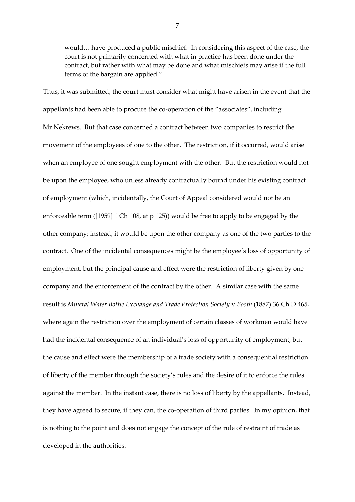would… have produced a public mischief. In considering this aspect of the case, the court is not primarily concerned with what in practice has been done under the contract, but rather with what may be done and what mischiefs may arise if the full terms of the bargain are applied."

Thus, it was submitted, the court must consider what might have arisen in the event that the appellants had been able to procure the co-operation of the "associates", including Mr Nekrews. But that case concerned a contract between two companies to restrict the movement of the employees of one to the other. The restriction, if it occurred, would arise when an employee of one sought employment with the other. But the restriction would not be upon the employee, who unless already contractually bound under his existing contract of employment (which, incidentally, the Court of Appeal considered would not be an enforceable term ([1959] 1 Ch 108, at p 125)) would be free to apply to be engaged by the other company; instead, it would be upon the other company as one of the two parties to the contract. One of the incidental consequences might be the employee's loss of opportunity of employment, but the principal cause and effect were the restriction of liberty given by one company and the enforcement of the contract by the other. A similar case with the same result is *Mineral Water Bottle Exchange and Trade Protection Society* v *Booth* (1887) 36 Ch D 465, where again the restriction over the employment of certain classes of workmen would have had the incidental consequence of an individual's loss of opportunity of employment, but the cause and effect were the membership of a trade society with a consequential restriction of liberty of the member through the society's rules and the desire of it to enforce the rules against the member. In the instant case, there is no loss of liberty by the appellants. Instead, they have agreed to secure, if they can, the co-operation of third parties. In my opinion, that is nothing to the point and does not engage the concept of the rule of restraint of trade as developed in the authorities.